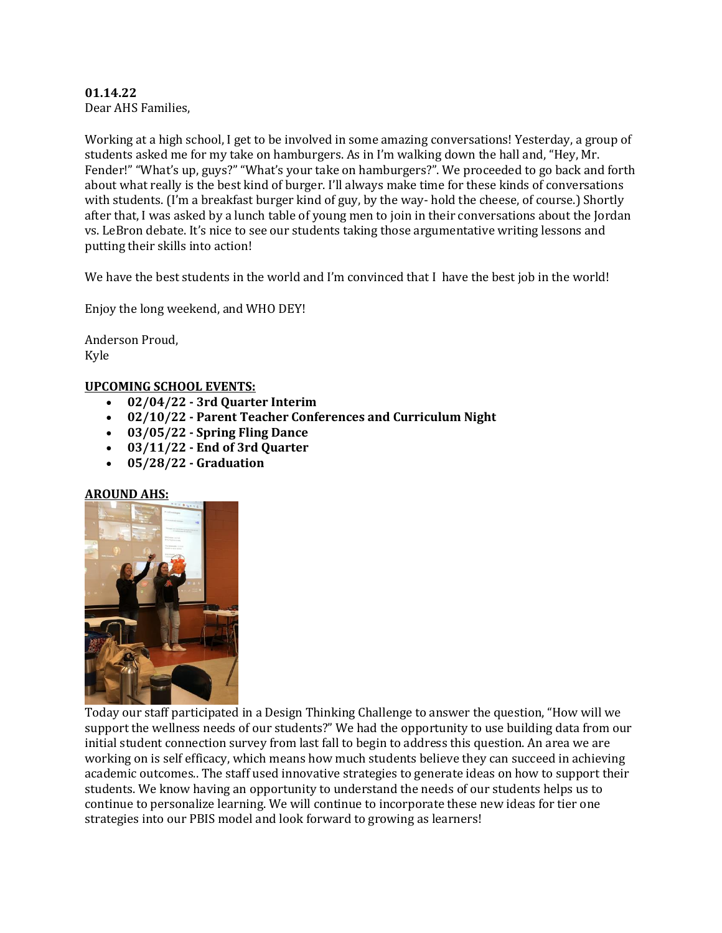# **01.14.22**

Dear AHS Families,

Working at a high school, I get to be involved in some amazing conversations! Yesterday, a group of students asked me for my take on hamburgers. As in I'm walking down the hall and, "Hey, Mr. Fender!" "What's up, guys?" "What's your take on hamburgers?". We proceeded to go back and forth about what really is the best kind of burger. I'll always make time for these kinds of conversations with students. (I'm a breakfast burger kind of guy, by the way- hold the cheese, of course.) Shortly after that, I was asked by a lunch table of young men to join in their conversations about the Jordan vs. LeBron debate. It's nice to see our students taking those argumentative writing lessons and putting their skills into action!

We have the best students in the world and I'm convinced that I have the best job in the world!

Enjoy the long weekend, and WHO DEY!

Anderson Proud, Kyle

### **UPCOMING SCHOOL EVENTS:**

- **02/04/22 - 3rd Quarter Interim**
- **02/10/22 - Parent Teacher Conferences and Curriculum Night**
- **03/05/22 - Spring Fling Dance**
- **03/11/22 - End of 3rd Quarter**
- **05/28/22 - Graduation**

#### **AROUND AHS:**



Today our staff participated in a Design Thinking Challenge to answer the question, "How will we support the wellness needs of our students?" We had the opportunity to use building data from our initial student connection survey from last fall to begin to address this question. An area we are working on is self efficacy, which means how much students believe they can succeed in achieving academic outcomes.. The staff used innovative strategies to generate ideas on how to support their students. We know having an opportunity to understand the needs of our students helps us to continue to personalize learning. We will continue to incorporate these new ideas for tier one strategies into our PBIS model and look forward to growing as learners!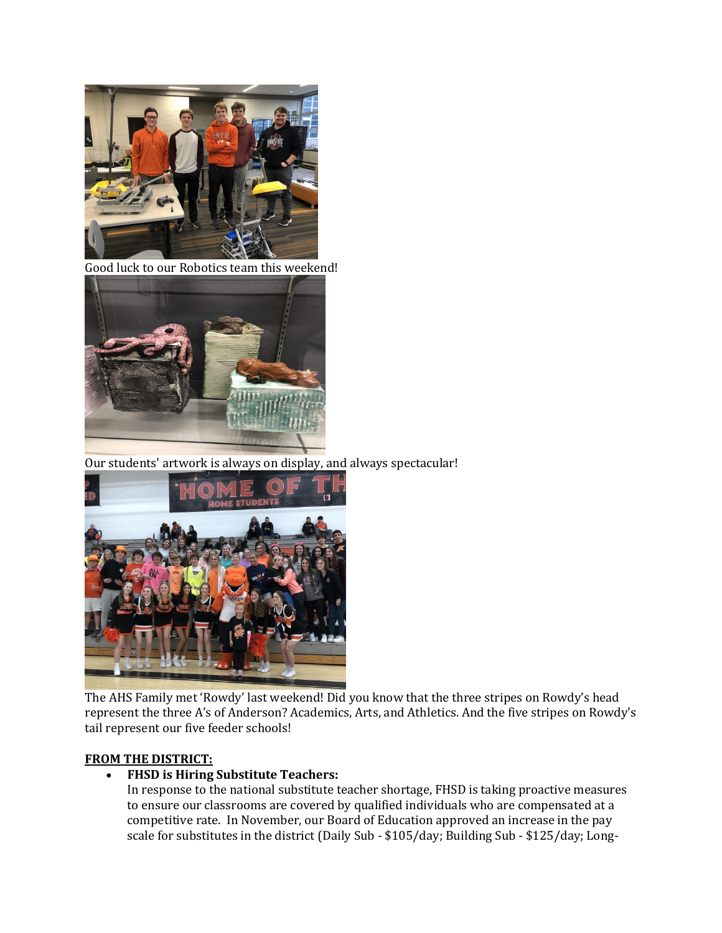

Good luck to our Robotics team this weekend!



Our students' artwork is always on display, and always spectacular!



The AHS Family met 'Rowdy' last weekend! Did you know that the three stripes on Rowdy's head represent the three A's of Anderson? Academics, Arts, and Athletics. And the five stripes on Rowdy's tail represent our five feeder schools!

#### **FROM THE DISTRICT:**

#### **FHSD is Hiring Substitute Teachers:**

In response to the national substitute teacher shortage, FHSD is taking proactive measures to ensure our classrooms are covered by qualified individuals who are compensated at a competitive rate. In November, our Board of Education approved an increase in the pay scale for substitutes in the district (Daily Sub - \$105/day; Building Sub - \$125/day; Long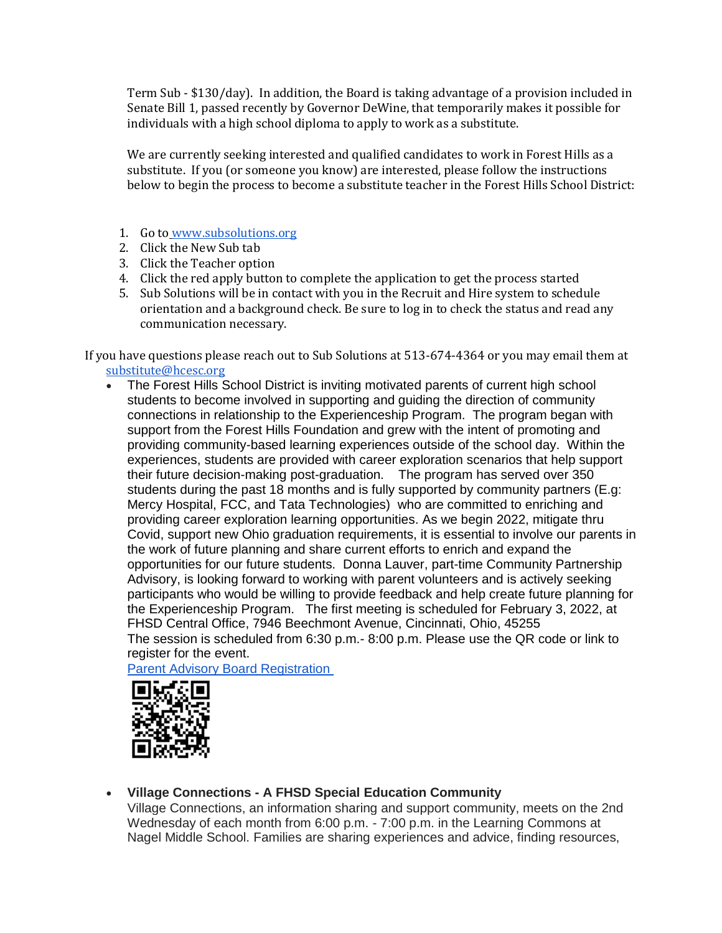Term Sub - \$130/day). In addition, the Board is taking advantage of a provision included in Senate Bill 1, passed recently by Governor DeWine, that temporarily makes it possible for individuals with a high school diploma to apply to work as a substitute.

We are currently seeking interested and qualified candidates to work in Forest Hills as a substitute. If you (or someone you know) are interested, please follow the instructions below to begin the process to become a substitute teacher in the Forest Hills School District:

- 1. Go to [www.subsolutions.org](http://www.subsolutions.org/)
- 2. Click the New Sub tab
- 3. Click the Teacher option
- 4. Click the red apply button to complete the application to get the process started
- 5. Sub Solutions will be in contact with you in the Recruit and Hire system to schedule orientation and a background check. Be sure to log in to check the status and read any communication necessary.

If you have questions please reach out to Sub Solutions at 513-674-4364 or you may email them at substitute@hcesc.org

• The Forest Hills School District is inviting motivated parents of current high school students to become involved in supporting and guiding the direction of community connections in relationship to the Experienceship Program. The program began with support from the Forest Hills Foundation and grew with the intent of promoting and providing community-based learning experiences outside of the school day. Within the experiences, students are provided with career exploration scenarios that help support their future decision-making post-graduation. The program has served over 350 students during the past 18 months and is fully supported by community partners (E.g: Mercy Hospital, FCC, and Tata Technologies) who are committed to enriching and providing career exploration learning opportunities. As we begin 2022, mitigate thru Covid, support new Ohio graduation requirements, it is essential to involve our parents in the work of future planning and share current efforts to enrich and expand the opportunities for our future students. Donna Lauver, part-time Community Partnership Advisory, is looking forward to working with parent volunteers and is actively seeking participants who would be willing to provide feedback and help create future planning for the Experienceship Program. The first meeting is scheduled for February 3, 2022, at FHSD Central Office, 7946 Beechmont Avenue, Cincinnati, Ohio, 45255 The session is scheduled from 6:30 p.m.- 8:00 p.m. Please use the QR code or link to register for the event.

[Parent Advisory Board Registration](https://forms.gle/4BJScpoEvuEFa52BA)



**Village Connections - A FHSD Special Education Community**

Village Connections, an information sharing and support community, meets on the 2nd Wednesday of each month from 6:00 p.m. - 7:00 p.m. in the Learning Commons at Nagel Middle School. Families are sharing experiences and advice, finding resources,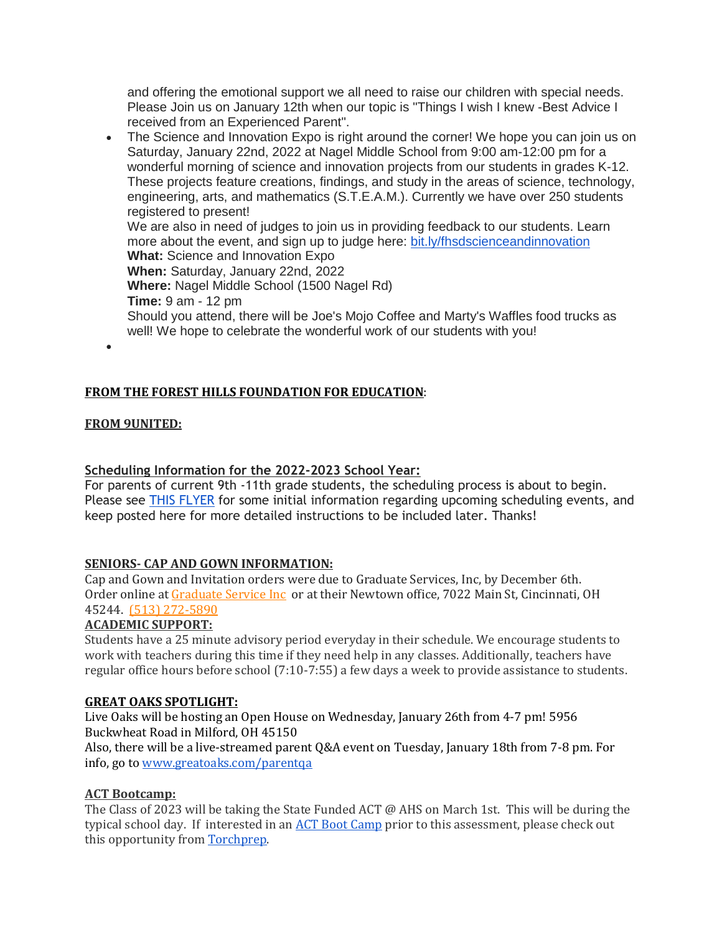and offering the emotional support we all need to raise our children with special needs. Please Join us on January 12th when our topic is "Things I wish I knew -Best Advice I received from an Experienced Parent".

- The Science and Innovation Expo is right around the corner! We hope you can join us on Saturday, January 22nd, 2022 at Nagel Middle School from 9:00 am-12:00 pm for a wonderful morning of science and innovation projects from our students in grades K-12. These projects feature creations, findings, and study in the areas of science, technology, engineering, arts, and mathematics (S.T.E.A.M.). Currently we have over 250 students registered to present! We are also in need of judges to join us in providing feedback to our students. Learn more about the event, and sign up to judge here: [bit.ly/fhsdscienceandinnovation](http://bit.ly/fhsdscienceandinnovation) **What:** Science and Innovation Expo **When:** Saturday, January 22nd, 2022 **Where:** Nagel Middle School (1500 Nagel Rd) **Time:** 9 am - 12 pm Should you attend, there will be Joe's Mojo Coffee and Marty's Waffles food trucks as well! We hope to celebrate the wonderful work of our students with you!
- $\bullet$

## **FROM THE FOREST HILLS FOUNDATION FOR EDUCATION**:

### **FROM 9UNITED:**

### **Scheduling Information for the 2022-2023 School Year:**

For parents of current 9th -11th grade students, the scheduling process is about to begin. Please see [THIS FLYER](https://drive.google.com/file/d/10JizODshBOqMziyYe3jltyXwDQRd7h0U/view?usp=sharing) for some initial information regarding upcoming scheduling events, and keep posted here for more detailed instructions to be included later. Thanks!

### **SENIORS- CAP AND GOWN INFORMATION:**

Cap and Gown and Invitation orders were due to Graduate Services, Inc, by December 6th. Order online a[t Graduate Service Inc](https://highschool.herffjones.com/secom/home) or at their Newtown office, 7022 Main St, Cincinnati, OH 45244. [\(513\) 272-5890](https://www.google.com/search?q=graduate+service+inc&rlz=1C1GCEV_en&oq=&aqs=chrome.0.69i59i450l7.65298j0j7&sourceid=chrome&ie=UTF-8)

#### **ACADEMIC SUPPORT:**

Students have a 25 minute advisory period everyday in their schedule. We encourage students to work with teachers during this time if they need help in any classes. Additionally, teachers have regular office hours before school (7:10-7:55) a few days a week to provide assistance to students.

#### **GREAT OAKS SPOTLIGHT:**

Live Oaks will be hosting an Open House on Wednesday, January 26th from 4-7 pm! 5956 Buckwheat Road in Milford, OH 45150

Also, there will be a live-streamed parent Q&A event on Tuesday, January 18th from 7-8 pm. For info, go t[o www.greatoaks.com/parentqa](http://www.greatoaks.com/parentqa)

#### **ACT Bootcamp:**

The Class of 2023 will be taking the State Funded ACT @ AHS on March 1st. This will be during the typical school day. If interested in a[n ACT Boot Camp](https://www.torchprep.com/confirm/?course_id=20141) prior to this assessment, please check out this opportunity fro[m Torchprep.](https://www.youtube.com/watch?v=GvUhxQJLcGU&t=4s)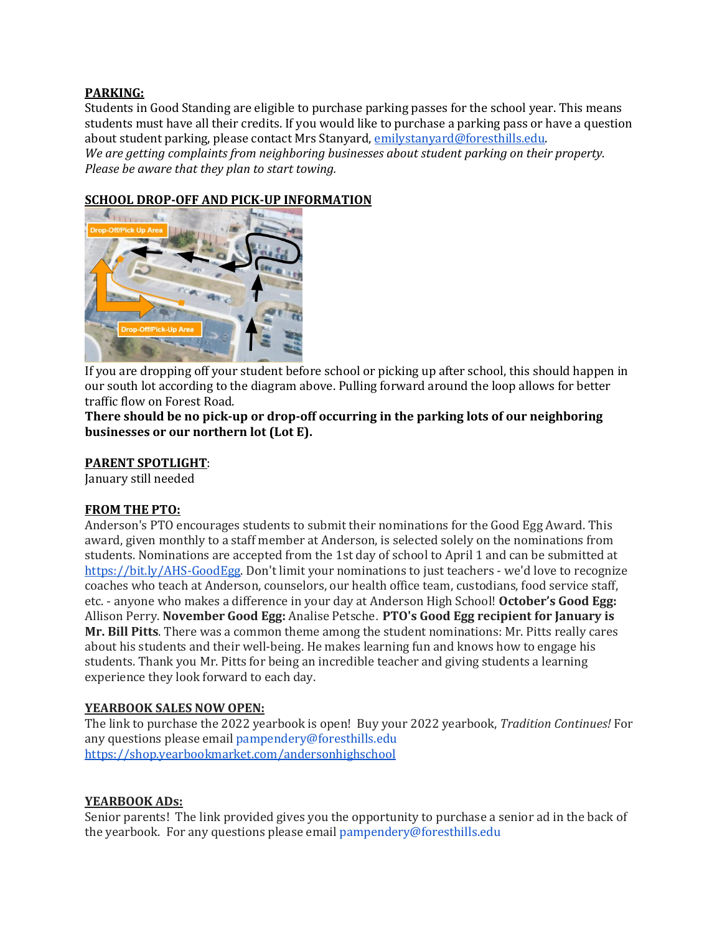### **PARKING:**

Students in Good Standing are eligible to purchase parking passes for the school year. This means students must have all their credits. If you would like to purchase a parking pass or have a question about student parking, please contact Mrs Stanyard[, emilystanyard@foresthills.edu.](mailto:emilystanyard@foresthills.edu) *We are getting complaints from neighboring businesses about student parking on their property. Please be aware that they plan to start towing.*

## **SCHOOL DROP-OFF AND PICK-UP INFORMATION**



If you are dropping off your student before school or picking up after school, this should happen in our south lot according to the diagram above. Pulling forward around the loop allows for better traffic flow on Forest Road.

**There should be no pick-up or drop-off occurring in the parking lots of our neighboring businesses or our northern lot (Lot E).**

#### **PARENT SPOTLIGHT**:

January still needed

### **FROM THE PTO:**

Anderson's PTO encourages students to submit their nominations for the Good Egg Award. This award, given monthly to a staff member at Anderson, is selected solely on the nominations from students. Nominations are accepted from the 1st day of school to April 1 and can be submitted at [https://bit.ly/AHS-GoodEgg.](https://bit.ly/AHS-GoodEgg) Don't limit your nominations to just teachers - we'd love to recognize coaches who teach at Anderson, counselors, our health office team, custodians, food service staff, etc. - anyone who makes a difference in your day at Anderson High School! **October's Good Egg:** Allison Perry. **November Good Egg:** Analise Petsche. **PTO's Good Egg recipient for January is Mr. Bill Pitts**. There was a common theme among the student nominations: Mr. Pitts really cares about his students and their well-being. He makes learning fun and knows how to engage his students. Thank you Mr. Pitts for being an incredible teacher and giving students a learning experience they look forward to each day.

#### **YEARBOOK SALES NOW OPEN:**

The link to purchase the 2022 yearbook is open! Buy your 2022 yearbook, *Tradition Continues!* For any questions please email pampendery@foresthills.edu <https://shop.yearbookmarket.com/andersonhighschool>

#### **YEARBOOK ADs:**

Senior parents! The link provided gives you the opportunity to purchase a senior ad in the back of the yearbook. For any questions please email pampendery@foresthills.edu